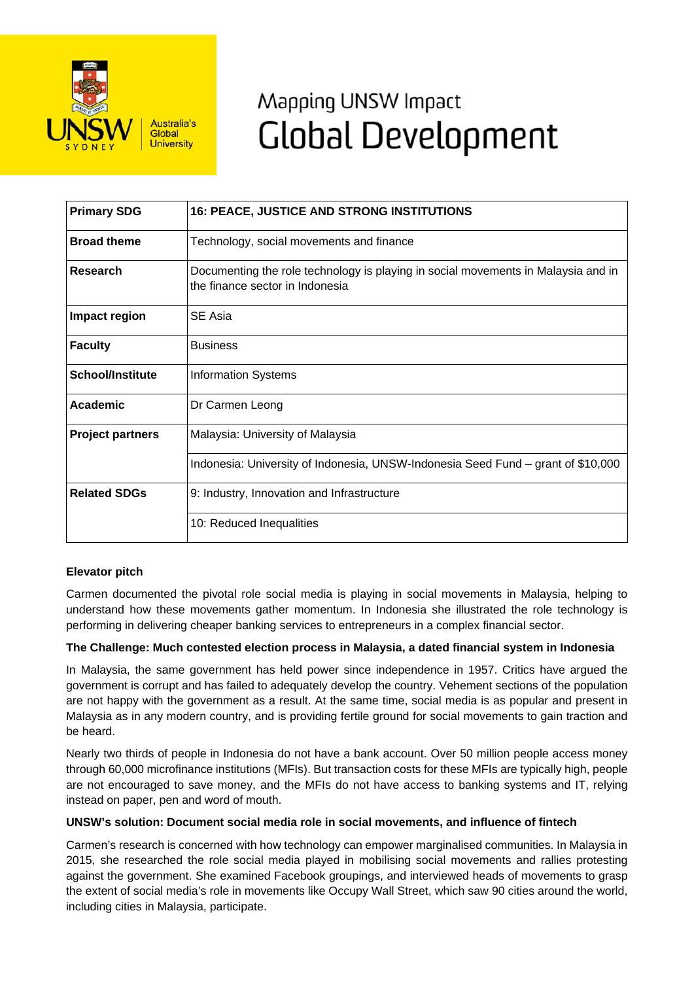

# Mapping UNSW Impact **Global Development**

| <b>Primary SDG</b>      | <b>16: PEACE, JUSTICE AND STRONG INSTITUTIONS</b>                                                                    |
|-------------------------|----------------------------------------------------------------------------------------------------------------------|
| <b>Broad theme</b>      | Technology, social movements and finance                                                                             |
| <b>Research</b>         | Documenting the role technology is playing in social movements in Malaysia and in<br>the finance sector in Indonesia |
| Impact region           | SE Asia                                                                                                              |
| <b>Faculty</b>          | <b>Business</b>                                                                                                      |
| <b>School/Institute</b> | <b>Information Systems</b>                                                                                           |
| Academic                | Dr Carmen Leong                                                                                                      |
| <b>Project partners</b> | Malaysia: University of Malaysia                                                                                     |
|                         | Indonesia: University of Indonesia, UNSW-Indonesia Seed Fund – grant of \$10,000                                     |
| <b>Related SDGs</b>     | 9: Industry, Innovation and Infrastructure                                                                           |
|                         | 10: Reduced Inequalities                                                                                             |

# **Elevator pitch**

Carmen documented the pivotal role social media is playing in social movements in Malaysia, helping to understand how these movements gather momentum. In Indonesia she illustrated the role technology is performing in delivering cheaper banking services to entrepreneurs in a complex financial sector.

#### **The Challenge: Much contested election process in Malaysia, a dated financial system in Indonesia**

In Malaysia, the same government has held power since independence in 1957. Critics have argued the government is corrupt and has failed to adequately develop the country. Vehement sections of the population are not happy with the government as a result. At the same time, social media is as popular and present in Malaysia as in any modern country, and is providing fertile ground for social movements to gain traction and be heard.

Nearly two thirds of people in Indonesia do not have a bank account. Over 50 million people access money through 60,000 microfinance institutions (MFIs). But transaction costs for these MFIs are typically high, people are not encouraged to save money, and the MFIs do not have access to banking systems and IT, relying instead on paper, pen and word of mouth.

## **UNSW's solution: Document social media role in social movements, and influence of fintech**

Carmen's research is concerned with how technology can empower marginalised communities. In Malaysia in 2015, she researched the role social media played in mobilising social movements and rallies protesting against the government. She examined Facebook groupings, and interviewed heads of movements to grasp the extent of social media's role in movements like Occupy Wall Street, which saw 90 cities around the world, including cities in Malaysia, participate.